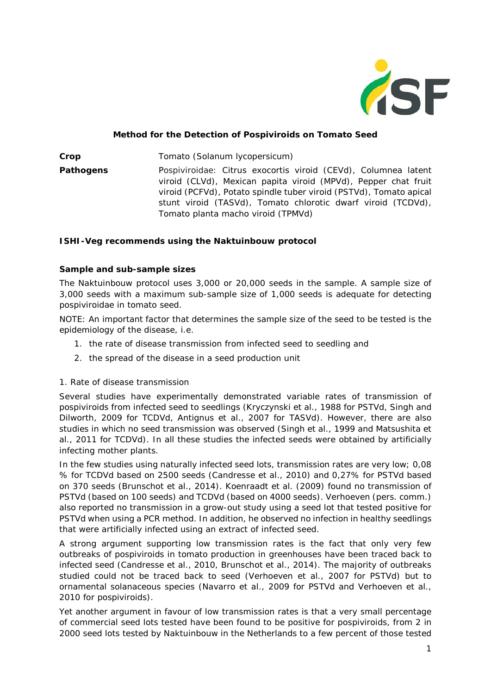

### **Method for the Detection of Pospiviroids on Tomato Seed**

**Crop** Tomato (*Solanum lycopersicum*) **Pathogens** Pospiviroidae: Citrus exocortis viroid (CEVd), Columnea latent viroid (CLVd), Mexican papita viroid (MPVd), Pepper chat fruit viroid (PCFVd), Potato spindle tuber viroid (PSTVd), Tomato apical stunt viroid (TASVd), Tomato chlorotic dwarf viroid (TCDVd), Tomato planta macho viroid (TPMVd)

### **ISHI-Veg recommends using the Naktuinbouw protocol**

### **Sample and sub-sample sizes**

The Naktuinbouw protocol uses 3,000 or 20,000 seeds in the sample. A sample size of 3,000 seeds with a maximum sub-sample size of 1,000 seeds is adequate for detecting pospiviroidae in tomato seed.

NOTE: An important factor that determines the sample size of the seed to be tested is the epidemiology of the disease, i.e.

- 1. the rate of disease transmission from infected seed to seedling and
- 2. the spread of the disease in a seed production unit

#### *1. Rate of disease transmission*

Several studies have experimentally demonstrated variable rates of transmission of pospiviroids from infected seed to seedlings (Kryczynski et al., 1988 for PSTVd, Singh and Dilworth, 2009 for TCDVd, Antignus et al., 2007 for TASVd). However, there are also studies in which no seed transmission was observed (Singh et al., 1999 and Matsushita et al*.,* 2011 for TCDVd). In all these studies the infected seeds were obtained by artificially infecting mother plants.

In the few studies using naturally infected seed lots, transmission rates are very low; 0,08 % for TCDVd based on 2500 seeds (Candresse et al., 2010) and 0,27% for PSTVd based on 370 seeds (Brunschot et al.*,* 2014). Koenraadt et al. (2009) found no transmission of PSTVd (based on 100 seeds) and TCDVd (based on 4000 seeds). Verhoeven (pers. comm.) also reported no transmission in a grow-out study using a seed lot that tested positive for PSTVd when using a PCR method. In addition, he observed no infection in healthy seedlings that were artificially infected using an extract of infected seed.

A strong argument supporting low transmission rates is the fact that only very few outbreaks of pospiviroids in tomato production in greenhouses have been traced back to infected seed (Candresse et al., 2010, Brunschot et al., 2014). The majority of outbreaks studied could not be traced back to seed (Verhoeven et al., 2007 for PSTVd) but to ornamental solanaceous species (Navarro et al., 2009 for PSTVd and Verhoeven et al., 2010 for pospiviroids).

Yet another argument in favour of low transmission rates is that a very small percentage of commercial seed lots tested have been found to be positive for pospiviroids, from 2 in 2000 seed lots tested by Naktuinbouw in the Netherlands to a few percent of those tested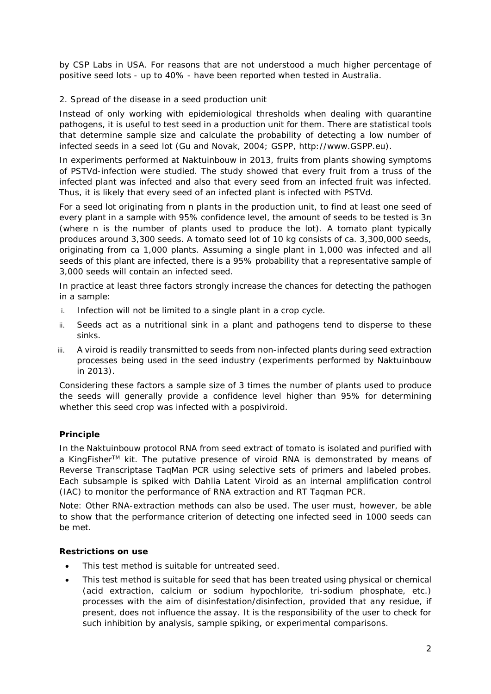by CSP Labs in USA. For reasons that are not understood a much higher percentage of positive seed lots - up to 40% - have been reported when tested in Australia.

# *2. Spread of the disease in a seed production unit*

Instead of only working with epidemiological thresholds when dealing with quarantine pathogens, it is useful to test seed in a production unit for them. There are statistical tools that determine sample size and calculate the probability of detecting a low number of infected seeds in a seed lot (Gu and Novak, 2004; GSPP, [http://www.GSPP.eu\)](http://www.gspp.eu/).

In experiments performed at Naktuinbouw in 2013, fruits from plants showing symptoms of PSTVd-infection were studied. The study showed that every fruit from a truss of the infected plant was infected and also that every seed from an infected fruit was infected. Thus, it is likely that every seed of an infected plant is infected with PSTVd.

For a seed lot originating from *n* plants in the production unit, to find at least one seed of every plant in a sample with 95% confidence level, the amount of seeds to be tested is 3*n* (where *n* is the number of plants used to produce the lot). A tomato plant typically produces around 3,300 seeds. A tomato seed lot of 10 kg consists of ca. 3,300,000 seeds, originating from ca 1,000 plants. Assuming a single plant in 1,000 was infected and all seeds of this plant are infected, there is a 95% probability that a representative sample of 3,000 seeds will contain an infected seed.

In practice at least three factors strongly increase the chances for detecting the pathogen in a sample:

- i. Infection will not be limited to a single plant in a crop cycle.
- ii. Seeds act as a nutritional sink in a plant and pathogens tend to disperse to these sinks.
- iii. A viroid is readily transmitted to seeds from non-infected plants during seed extraction processes being used in the seed industry (experiments performed by Naktuinbouw in 2013).

Considering these factors a sample size of 3 times the number of plants used to produce the seeds will generally provide a confidence level higher than 95% for determining whether this seed crop was infected with a pospiviroid.

# **Principle**

In the Naktuinbouw protocol RNA from seed extract of tomato is isolated and purified with a KingFisher<sup>TM</sup> kit. The putative presence of viroid RNA is demonstrated by means of Reverse Transcriptase TaqMan PCR using selective sets of primers and labeled probes. Each subsample is spiked with Dahlia Latent Viroid as an internal amplification control (IAC) to monitor the performance of RNA extraction and RT Taqman PCR.

Note: Other RNA-extraction methods can also be used. The user must, however, be able to show that the performance criterion of detecting one infected seed in 1000 seeds can be met.

# **Restrictions on use**

- This test method is suitable for untreated seed.
- This test method is suitable for seed that has been treated using physical or chemical (acid extraction, calcium or sodium hypochlorite, tri-sodium phosphate, etc.) processes with the aim of disinfestation/disinfection, provided that any residue, if present, does not influence the assay. It is the responsibility of the user to check for such inhibition by analysis, sample spiking, or experimental comparisons.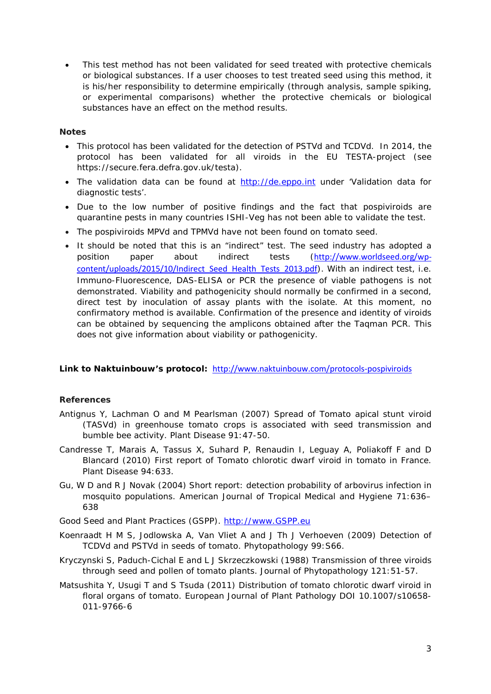This test method has not been validated for seed treated with protective chemicals or biological substances. If a user chooses to test treated seed using this method, it is his/her responsibility to determine empirically (through analysis, sample spiking, or experimental comparisons) whether the protective chemicals or biological substances have an effect on the method results.

### **Notes**

- This protocol has been validated for the detection of PSTVd and TCDVd. In 2014, the protocol has been validated for all viroids in the EU TESTA-project (see https://secure.fera.defra.gov.uk/testa).
- The validation data can be found at [http://de.eppo.int](http://de.eppo.int/) under 'Validation data for diagnostic tests'.
- Due to the low number of positive findings and the fact that pospiviroids are quarantine pests in many countries ISHI-Veg has not been able to validate the test.
- The pospiviroids MPVd and TPMVd have not been found on tomato seed.
- It should be noted that this is an "indirect" test. The seed industry has adopted a position paper about indirect tests ([http://www.worldseed.org/wp](http://www.worldseed.org/wp-content/uploads/2015/10/Indirect_Seed_Health_Tests_2013.pdf)content/uploads/2015/10/Indirect Seed Health Tests 2013.pdf). With an indirect test, i.e. Immuno-Fluorescence, DAS-ELISA or PCR the presence of viable pathogens is not demonstrated. Viability and pathogenicity should normally be confirmed in a second, direct test by inoculation of assay plants with the isolate. At this moment, no confirmatory method is available. Confirmation of the presence and identity of viroids can be obtained by sequencing the amplicons obtained after the Taqman PCR. This does not give information about viability or pathogenicity.

#### **Link to Naktuinbouw's protocol:** <http://www.naktuinbouw.com/protocols-pospiviroids>

# **References**

- Antignus Y, Lachman O and M Pearlsman (2007) Spread of *Tomato apical stunt viroid* (TASVd) in greenhouse tomato crops is associated with seed transmission and bumble bee activity. *Plant Disease* 91:47-50.
- Candresse T, Marais A, Tassus X, Suhard P, Renaudin I, Leguay A, Poliakoff F and D Blancard (2010) First report of *Tomato chlorotic dwarf viroid* in tomato in France. *Plant Disease* 94:633.
- Gu, W D and R J Novak (2004) Short report: detection probability of arbovirus infection in mosquito populations. *American Journal of Tropical Medical and Hygiene* 71:636– 638
- Good Seed and Plant Practices (GSPP). [http://www.GSPP.eu](http://www.gspp.eu/)
- Koenraadt H M S, Jodlowska A, Van Vliet A and J Th J Verhoeven (2009) Detection of TCDVd and PSTVd in seeds of tomato. *Phytopathology* 99:S66.
- Kryczynski S, Paduch-Cichal E and L J Skrzeczkowski (1988) Transmission of three viroids through seed and pollen of tomato plants. *Journal of Phytopathology* 121:51-57.
- Matsushita Y, Usugi T and S Tsuda (2011) Distribution of *tomato chlorotic dwarf viroid* in floral organs of tomato. *European Journal of Plant Pathology* DOI 10.1007/s10658- 011-9766-6